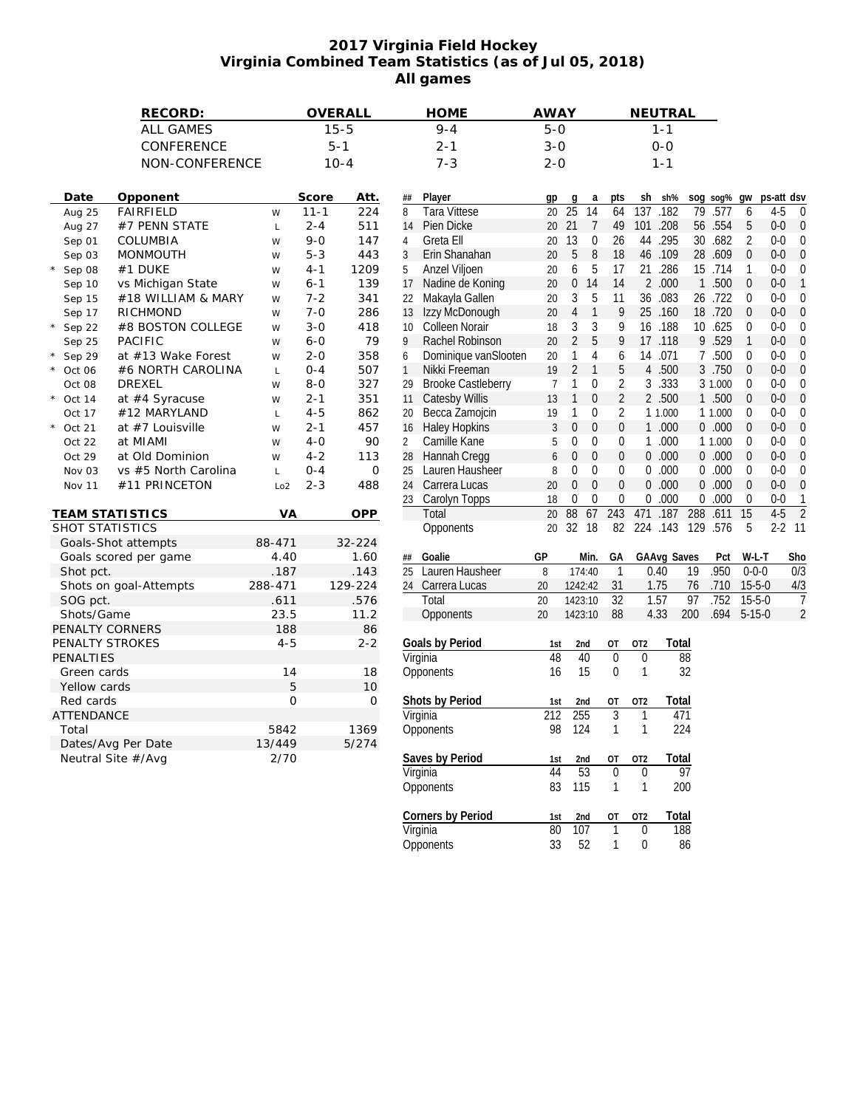## **2017 Virginia Field Hockey Virginia Combined Team Statistics (as of Jul 05, 2018) All games**

|                            | RECORD:              |                 |          | OVERALL      |                 | <b>HOME</b>               | <b>AWAY</b>    |                                |                  |                 | NEUTRAL           |                 |             |                  |            |                  |
|----------------------------|----------------------|-----------------|----------|--------------|-----------------|---------------------------|----------------|--------------------------------|------------------|-----------------|-------------------|-----------------|-------------|------------------|------------|------------------|
| <b>ALL GAMES</b>           |                      |                 | $15 - 5$ |              |                 | $9 - 4$                   |                | $5 - 0$                        |                  | $1 - 1$         |                   |                 |             |                  |            |                  |
|                            | CONFERENCE           |                 |          | $5 - 1$      |                 | $2 - 1$                   |                | $3 - 0$                        |                  | $O-O$           |                   |                 |             |                  |            |                  |
| NON-CONFERENCE             |                      |                 | $10 - 4$ |              |                 | $7 - 3$                   |                | $2 - 0$                        |                  | $1 - 1$         |                   |                 |             |                  |            |                  |
|                            |                      |                 |          |              |                 |                           |                |                                |                  |                 |                   |                 |             |                  |            |                  |
| Date<br>Opponent           |                      |                 | Score    | Att.         | ##              | Player                    | gp             | a<br>g                         | pts              | sh              | sh%               |                 | sog sog% gw |                  | ps-att dsv |                  |
| <b>FAIRFIELD</b><br>Aug 25 |                      | W               | $11 - 1$ | 224          | 8               | <b>Tara Vittese</b>       | 20             | 25<br>14                       | 64               | 137             | .182              | 79              | .577        | 6                | $4 - 5$    | $\mathbf{0}$     |
| Aug 27<br>#7 PENN STATE    |                      | $\mathsf L$     | $2 - 4$  | 511          | 14              | Pien Dicke                |                | 20 21<br>$\overline{7}$        | 49               | 101             | .208              |                 | 56 .554     | 5                | $0-0$      | $\mathbf{0}$     |
| COLUMBIA<br>Sep 01         |                      | W               | $9 - 0$  | 147          | 4               | Greta Ell                 | 20             | 13<br>0                        | 26               | 44              | .295              |                 | 30 .682     | $\overline{2}$   | $0-0$      | $\boldsymbol{0}$ |
| Sep 03<br><b>MONMOUTH</b>  |                      | W               | $5 - 3$  | 443          | 3               | Erin Shanahan             | 20             | 5<br>8                         | 18               |                 | 46 .109           |                 | 28 .609     | $\mathbf{0}$     | $0-0$      | $\mathbf{0}$     |
| #1 DUKE<br>Sep 08          |                      | W               | $4 - 1$  | 1209         | 5               | Anzel Viljoen             | 20             | 6<br>5                         | 17               |                 | 21 .286           |                 | 15 .714     | 1                | $0-0$      | $\boldsymbol{0}$ |
| Sep 10                     | vs Michigan State    | W               | $6 - 1$  | 139          | 17              | Nadine de Koning          | 20             | 0 14                           | 14               |                 | 2 .000            | $\mathbf{1}$    | .500        | $\mathbf{0}$     | $0-0$      | $\mathbf{1}$     |
| Sep 15                     | #18 WILLIAM & MARY   | W               | $7 - 2$  | 341          | 22              | Makayla Gallen            | 20             | 3<br>5                         | 11               |                 | 36 .083           |                 | 26 .722     | $\mathbf{0}$     | $0-0$      | $\mathbf{0}$     |
| RICHMOND<br>Sep 17         |                      | W               | $7 - 0$  | 286          | 13              | Izzy McDonough            | 20             | $\overline{4}$<br>$\mathbf{1}$ | 9                |                 | 25 .160           |                 | 18 .720     | $\mathbf{0}$     | $0-0$      | $\mathbf{0}$     |
| Sep 22                     | #8 BOSTON COLLEGE    | W               | $3 - 0$  | 418          | 10 <sup>°</sup> | <b>Colleen Norair</b>     | 18             | 3<br>3                         | 9                |                 | 16 .188           |                 | 10 .625     | $\mathbf 0$      | $0-0$      | $\mathbf{0}$     |
| <b>PACIFIC</b><br>Sep 25   |                      | W               | $6 - 0$  | 79           | 9               | Rachel Robinson           | 20             | $\overline{2}$<br>5            | 9                | 17              | .118              |                 | 9.529       | $\mathbf{1}$     | $0-0$      | $\mathbf{0}$     |
| Sep 29                     | at #13 Wake Forest   | W               | $2 - 0$  | 358          | 6               | Dominique vanSlooten      | 20             | $\overline{4}$<br>1            | 6                |                 | 14 .071           |                 | 7 .500      | $\mathbf{0}$     | $0-0$      | $\mathbf{0}$     |
| Oct 06                     | #6 NORTH CAROLINA    | $\mathsf L$     | $0 - 4$  | 507          | $\mathbf{1}$    | Nikki Freeman             | 19             | $\overline{2}$<br>$\mathbf{1}$ | 5                | $\overline{4}$  | .500              |                 | 3 .750      | $\mathbf 0$      | $0-0$      | $\boldsymbol{0}$ |
| <b>DREXEL</b><br>Oct 08    |                      | W               | $8 - 0$  | 327          | 29              | <b>Brooke Castleberry</b> | $\overline{7}$ | $\mathbf 0$<br>1               | $\overline{2}$   |                 | 3.333             |                 | 3 1.000     | $\mathbf{0}$     | $0-0$      | $\theta$         |
| at #4 Syracuse<br>Oct 14   |                      | W               | $2 - 1$  | 351          | 11              | <b>Catesby Willis</b>     | 13             | $\mathbf{1}$<br>$\mathbf{0}$   | $\overline{2}$   |                 | 2 .500            |                 | 1 .500      | $\mathbf{0}$     | $0-0$      | $\mathbf{0}$     |
| #12 MARYLAND<br>Oct 17     |                      | $\mathsf L$     | $4 - 5$  | 862          | 20              | Becca Zamojcin            | 19             | $\mathbf{1}$<br>0              | $\overline{2}$   |                 | 1 1.000           |                 | 1 1.000     | $\mathbf{0}$     | $0-0$      | $\mathbf 0$      |
| at #7 Louisville<br>Oct 21 |                      | W               | $2 - 1$  | 457          | 16              | <b>Haley Hopkins</b>      | 3              | 0<br>$\boldsymbol{0}$          | $\pmb{0}$        |                 | 1.000             |                 | 0.000       | $\mathbf 0$      | $0-0$      | $\mathbf 0$      |
| at MIAMI<br>Oct 22         |                      | W               | $4 - 0$  | 90           | $\overline{2}$  | Camille Kane              | 5              | 0<br>0                         | $\mathbf 0$      |                 | 1.000             |                 | 1 1.000     | $\mathbf{0}$     | $0-0$      | $\mathbf{0}$     |
|                            |                      |                 | $4 - 2$  |              | 28              | Hannah Cregg              | 6              | $\mathbf{0}$<br>$\theta$       | $\boldsymbol{0}$ | $\overline{0}$  | .000              |                 | 0.000       | $\mathbf{0}$     | $0-0$      | $\boldsymbol{0}$ |
| at Old Dominion<br>Oct 29  | vs #5 North Carolina | W               | $0 - 4$  | 113<br>0     | 25              | Lauren Hausheer           | 8              | 0<br>0                         | $\mathbf{0}$     |                 | 0.000             |                 | 0.000       | $\mathbf{0}$     | $0-0$      | $\mathbf 0$      |
| Nov 03                     |                      | $\mathsf L$     | $2 - 3$  |              |                 | Carrera Lucas             | 20             | 0<br>$\boldsymbol{0}$          | $\boldsymbol{0}$ |                 | 0.000             |                 | 0.000       | $\boldsymbol{0}$ | $0-0$      | $\boldsymbol{0}$ |
| Nov 11                     | #11 PRINCETON        | Lo <sub>2</sub> |          | 488          | 24<br>23        | Carolyn Topps             | 18             | $\mathbf{0}$<br>$\mathbf{0}$   | $\theta$         | 0               | .000              |                 | 0.000       | $\mathbf{0}$     | $0-0$      | $\mathbf{1}$     |
| <b>TEAM STATISTICS</b>     |                      | VA              |          | <b>OPP</b>   |                 | Total                     | 20             | 88<br>67                       | 243              | 471             | .187              | 288             | .611        | 15               | $4-5$      | $\overline{2}$   |
| SHOT STATISTICS            |                      |                 |          |              |                 | Opponents                 |                | 20 32 18                       | 82               |                 | 224 .143 129 .576 |                 |             | 5                | $2 - 2$ 11 |                  |
| Goals-Shot attempts        |                      | 88-471          |          | 32-224       |                 |                           |                |                                |                  |                 |                   |                 |             |                  |            |                  |
| Goals scored per game      |                      | 4.40            |          | 1.60         | ##              | Goalie                    | GP             | Min.                           | GА               |                 | GAAvg Saves       |                 | Pct         | W-L-T            |            | Sho              |
| Shot pct.                  |                      | .187            |          | .143         | 25              | Lauren Hausheer           | 8              | 174:40                         | 1                |                 | 0.40              | 19              | .950        | $0 - 0 - 0$      |            | 0/3              |
| Shots on goal-Attempts     |                      | 288-471         |          | 129-224      |                 | 24 Carrera Lucas          | 20             | 1242:42                        | 31               |                 | 1.75              | 76              | .710        | $15 - 5 - 0$     |            | 4/3              |
| SOG pct.                   |                      | .611            |          | .576         |                 | Total                     | 20             | 1423:10                        | $\overline{32}$  |                 | 1.57              | 97              | .752        | $15 - 5 - 0$     |            | $\overline{1}$   |
| Shots/Game                 |                      | 23.5            |          | 11.2         |                 | Opponents                 | 20             | 1423:10                        | 88               |                 | 4.33              | 200             | .694        | $5 - 15 - 0$     |            | $\overline{c}$   |
| PENALTY CORNERS            |                      | 188             |          | 86           |                 |                           |                |                                |                  |                 |                   |                 |             |                  |            |                  |
| PENALTY STROKES            |                      | $4 - 5$         |          | $2 - 2$      |                 | Goals by Period           | 1st            | 2nd                            | OT               | OT <sub>2</sub> | Total             |                 |             |                  |            |                  |
| PENALTIES                  |                      |                 |          |              |                 | Virginia                  | 48             | 40                             | $\overline{0}$   | $\mathbf 0$     |                   | $\overline{88}$ |             |                  |            |                  |
| Green cards                |                      | 14              |          | 18           |                 | Opponents                 | 16             | 15                             | $\pmb{0}$        | $\mathbf{1}$    |                   | 32              |             |                  |            |                  |
| Yellow cards               |                      | 5               |          | 10           |                 |                           |                |                                |                  |                 |                   |                 |             |                  |            |                  |
| Red cards                  |                      | $\mathcal{O}$   |          | $\mathbf{O}$ |                 | Shots by Period           | 1st            | 2nd                            | OT               | OT <sub>2</sub> | Total             |                 |             |                  |            |                  |
| <b>ATTENDANCE</b>          |                      |                 |          |              |                 | Virginia                  | 212            | 255                            | $\overline{3}$   | $\mathbf{1}$    | 471               |                 |             |                  |            |                  |
| Total                      |                      | 5842            |          | 1369         |                 | Opponents                 | 98             | 124                            | $\mathbf{1}$     | $\mathbf{1}$    | 224               |                 |             |                  |            |                  |
| Dates/Avg Per Date         |                      | 13/449          |          | 5/274        |                 |                           |                |                                |                  |                 |                   |                 |             |                  |            |                  |
| Neutral Site #/Avg         |                      | 2/70            |          |              |                 | Saves by Period           | 1st            | 2nd                            | OT               | OT <sub>2</sub> | Total             |                 |             |                  |            |                  |
|                            |                      |                 |          |              |                 | Virginia                  | 44             | 53                             | $\mathbf 0$      | $\mathbf{0}$    |                   | 97              |             |                  |            |                  |
|                            |                      |                 |          |              |                 | Opponents                 | 83             | 115                            | $\mathbf{1}$     | $\mathbf{1}$    | 200               |                 |             |                  |            |                  |
|                            |                      |                 |          |              |                 |                           |                |                                |                  |                 |                   |                 |             |                  |            |                  |
|                            |                      |                 |          |              |                 | Corners by Period         | 1st            | 2 <sub>nd</sub>                | <b>OT</b>        | OT <sub>2</sub> | Total             |                 |             |                  |            |                  |
|                            |                      |                 |          |              |                 | Virginia                  | 80             | 107                            | 1                | $\theta$        |                   | 188             |             |                  |            |                  |

Opponents 33 52 1 0 86